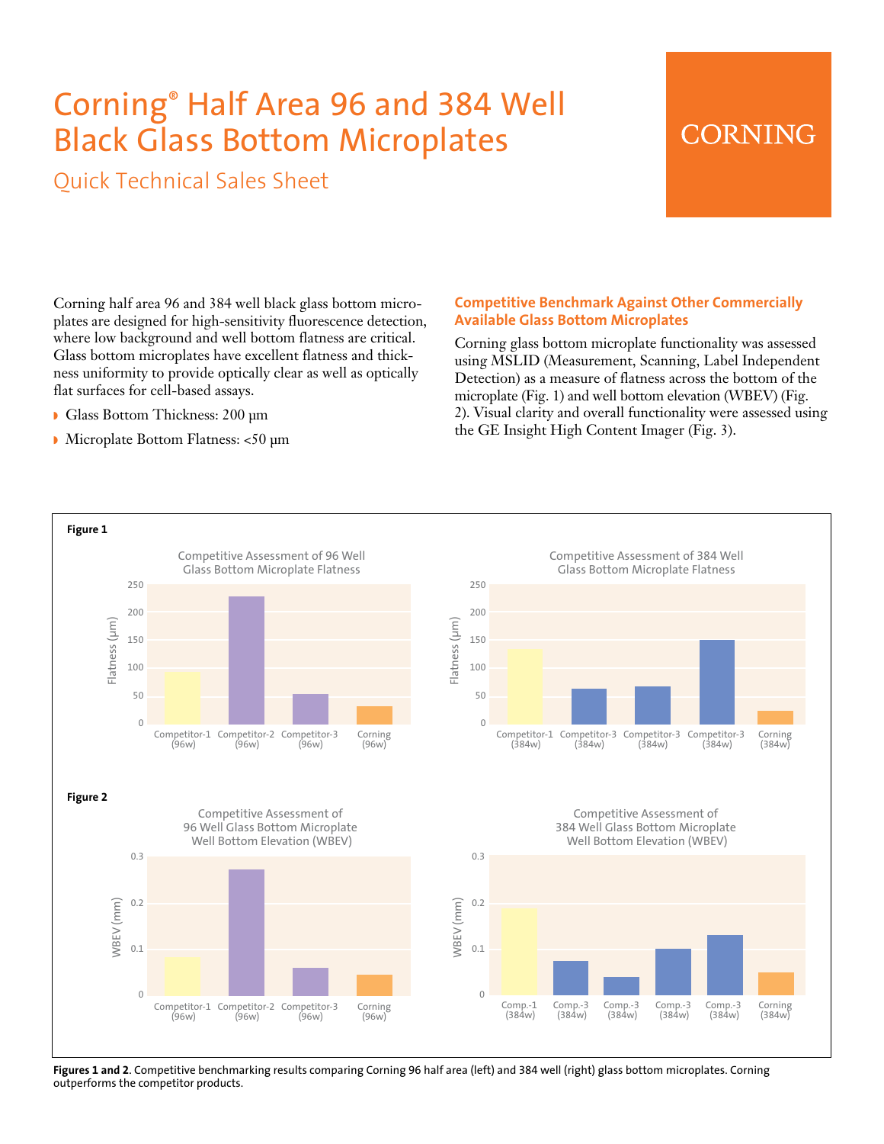# Corning® Half Area 96 and 384 Well Black Glass Bottom Microplates

Quick Technical Sales Sheet

## **CORNING**

Corning half area 96 and 384 well black glass bottom microplates are designed for high-sensitivity fluorescence detection, where low background and well bottom flatness are critical. Glass bottom microplates have excellent flatness and thickness uniformity to provide optically clear as well as optically flat surfaces for cell-based assays.

- Glass Bottom Thickness: 200 um
- Microplate Bottom Flatness: <50 µm

### **Competitive Benchmark Against Other Commercially Available Glass Bottom Microplates**

Corning glass bottom microplate functionality was assessed using MSLID (Measurement, Scanning, Label Independent Detection) as a measure of flatness across the bottom of the microplate (Fig. 1) and well bottom elevation (WBEV) (Fig. 2). Visual clarity and overall functionality were assessed using the GE Insight High Content Imager (Fig. 3).



**Figures 1 and 2**. Competitive benchmarking results comparing Corning 96 half area (left) and 384 well (right) glass bottom microplates. Corning outperforms the competitor products.